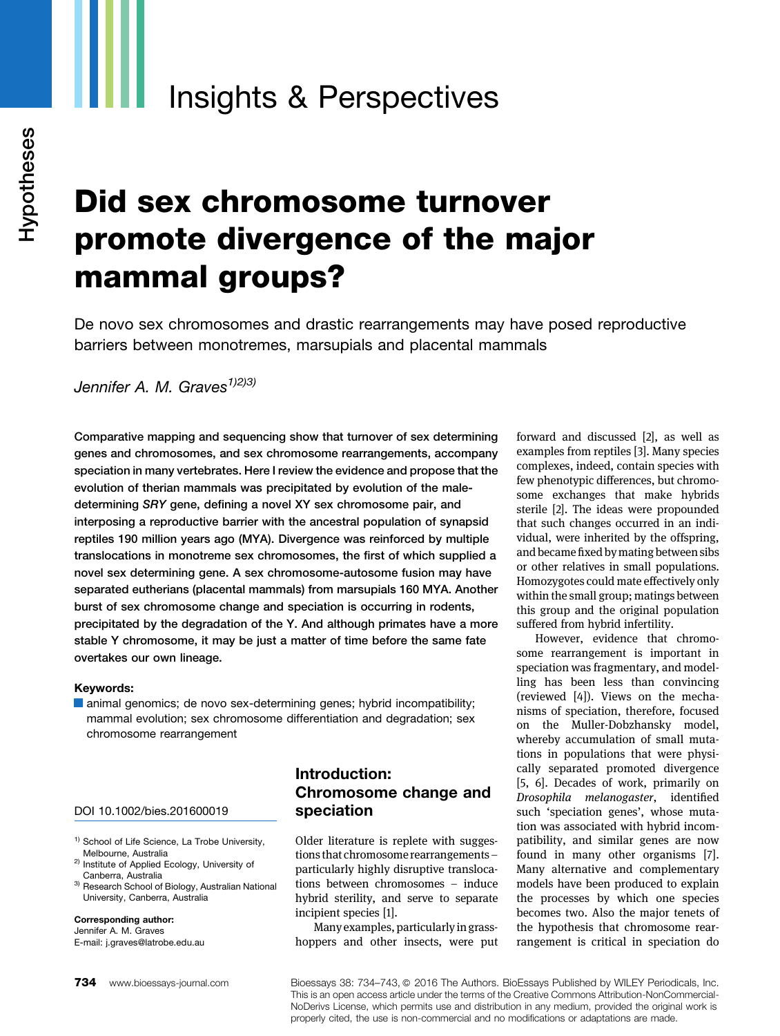# Insights & Perspectives

# Did sex chromosome turnover promote divergence of the major mammal groups?

De novo sex chromosomes and drastic rearrangements may have posed reproductive barriers between monotremes, marsupials and placental mammals

Jennifer A. M. Graves<sup> $1/2/3$ </sup>

Comparative mapping and sequencing show that turnover of sex determining genes and chromosomes, and sex chromosome rearrangements, accompany speciation in many vertebrates. Here I review the evidence and propose that the evolution of therian mammals was precipitated by evolution of the maledetermining SRY gene, defining a novel XY sex chromosome pair, and interposing a reproductive barrier with the ancestral population of synapsid reptiles 190 million years ago (MYA). Divergence was reinforced by multiple translocations in monotreme sex chromosomes, the first of which supplied a novel sex determining gene. A sex chromosome-autosome fusion may have separated eutherians (placental mammals) from marsupials 160 MYA. Another burst of sex chromosome change and speciation is occurring in rodents, precipitated by the degradation of the Y. And although primates have a more stable Y chromosome, it may be just a matter of time before the same fate overtakes our own lineage.

#### Keywords:

 $\blacksquare$  animal genomics; de novo sex-determining genes; hybrid incompatibility; mammal evolution; sex chromosome differentiation and degradation; sex chromosome rearrangement

#### DOI 10.1002/bies.201600019

- $1)$  School of Life Science, La Trobe University,<br>Melbourne, Australia
- $^{2)}$  Institute of Applied Ecology, University of
- Canberra, Australia<br><sup>3)</sup> Research School of Biology, Australian National University, Canberra, Australia

#### Corresponding author:

Jennifer A. M. Graves E-mail: j.graves@latrobe.edu.au

# Introduction: Chromosome change and speciation

Older literature is replete with suggestions that chromosome rearrangements – particularly highly disruptive translocations between chromosomes – induce hybrid sterility, and serve to separate incipient species [1].

Many examples, particularly in grasshoppers and other insects, were put

forward and discussed [2], as well as examples from reptiles [3]. Many species complexes, indeed, contain species with few phenotypic differences, but chromosome exchanges that make hybrids sterile [2]. The ideas were propounded that such changes occurred in an individual, were inherited by the offspring, and became fixed bymating between sibs or other relatives in small populations. Homozygotes could mate effectively only within the small group; matings between this group and the original population suffered from hybrid infertility.

However, evidence that chromosome rearrangement is important in speciation was fragmentary, and modelling has been less than convincing (reviewed [4]). Views on the mechanisms of speciation, therefore, focused on the Muller-Dobzhansky model, whereby accumulation of small mutations in populations that were physically separated promoted divergence [5, 6]. Decades of work, primarily on Drosophila melanogaster, identified such 'speciation genes', whose mutation was associated with hybrid incompatibility, and similar genes are now found in many other organisms [7]. Many alternative and complementary models have been produced to explain the processes by which one species becomes two. Also the major tenets of the hypothesis that chromosome rearrangement is critical in speciation do

734 www.bioessays-journal.com Bioessays 38: 734–743, @ 2016 The Authors. BioEssays Published by WILEY Periodicals, Inc. This is an open access article under the terms of the Creative Commons Attribution-NonCommercial-NoDerivs License, which permits use and distribution in any medium, provided the original work is properly cited, the use is non-commercial and no modifications or adaptations are made.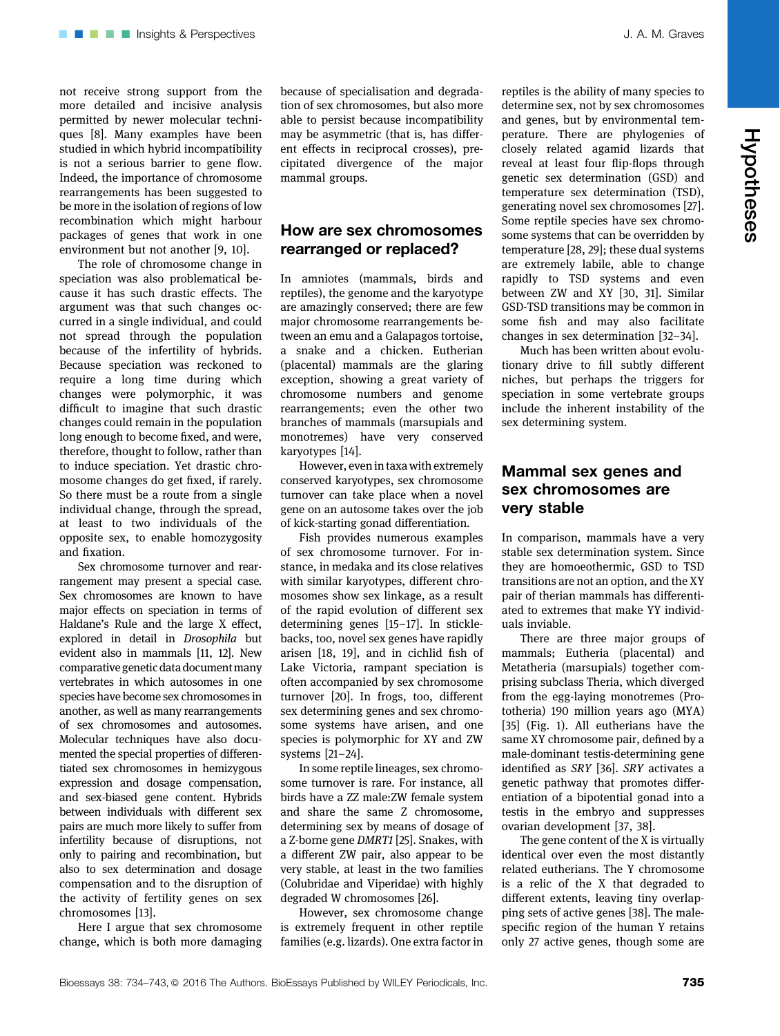not receive strong support from the more detailed and incisive analysis permitted by newer molecular techniques [8]. Many examples have been studied in which hybrid incompatibility is not a serious barrier to gene flow. Indeed, the importance of chromosome rearrangements has been suggested to be more in the isolation of regions of low recombination which might harbour packages of genes that work in one environment but not another [9, 10].

The role of chromosome change in speciation was also problematical because it has such drastic effects. The argument was that such changes occurred in a single individual, and could not spread through the population because of the infertility of hybrids. Because speciation was reckoned to require a long time during which changes were polymorphic, it was difficult to imagine that such drastic changes could remain in the population long enough to become fixed, and were, therefore, thought to follow, rather than to induce speciation. Yet drastic chromosome changes do get fixed, if rarely. So there must be a route from a single individual change, through the spread, at least to two individuals of the opposite sex, to enable homozygosity and fixation.

Sex chromosome turnover and rearrangement may present a special case. Sex chromosomes are known to have major effects on speciation in terms of Haldane's Rule and the large X effect, explored in detail in Drosophila but evident also in mammals [11, 12]. New comparative genetic data document many vertebrates in which autosomes in one species have become sex chromosomes in another, as well as many rearrangements of sex chromosomes and autosomes. Molecular techniques have also documented the special properties of differentiated sex chromosomes in hemizygous expression and dosage compensation, and sex-biased gene content. Hybrids between individuals with different sex pairs are much more likely to suffer from infertility because of disruptions, not only to pairing and recombination, but also to sex determination and dosage compensation and to the disruption of the activity of fertility genes on sex chromosomes [13].

Here I argue that sex chromosome change, which is both more damaging

because of specialisation and degradation of sex chromosomes, but also more able to persist because incompatibility may be asymmetric (that is, has different effects in reciprocal crosses), precipitated divergence of the major mammal groups.

### How are sex chromosomes rearranged or replaced?

In amniotes (mammals, birds and reptiles), the genome and the karyotype are amazingly conserved; there are few major chromosome rearrangements between an emu and a Galapagos tortoise, a snake and a chicken. Eutherian (placental) mammals are the glaring exception, showing a great variety of chromosome numbers and genome rearrangements; even the other two branches of mammals (marsupials and monotremes) have very conserved karyotypes [14].

However, evenin taxa with extremely conserved karyotypes, sex chromosome turnover can take place when a novel gene on an autosome takes over the job of kick-starting gonad differentiation.

Fish provides numerous examples of sex chromosome turnover. For instance, in medaka and its close relatives with similar karyotypes, different chromosomes show sex linkage, as a result of the rapid evolution of different sex determining genes [15–17]. In sticklebacks, too, novel sex genes have rapidly arisen [18, 19], and in cichlid fish of Lake Victoria, rampant speciation is often accompanied by sex chromosome turnover [20]. In frogs, too, different sex determining genes and sex chromosome systems have arisen, and one species is polymorphic for XY and ZW systems [21–24].

In some reptile lineages, sex chromosome turnover is rare. For instance, all birds have a ZZ male:ZW female system and share the same Z chromosome, determining sex by means of dosage of a Z-borne gene DMRT1 [25]. Snakes, with a different ZW pair, also appear to be very stable, at least in the two families (Colubridae and Viperidae) with highly degraded W chromosomes [26].

However, sex chromosome change is extremely frequent in other reptile families (e.g. lizards). One extra factor in

reptiles is the ability of many species to determine sex, not by sex chromosomes and genes, but by environmental temperature. There are phylogenies of closely related agamid lizards that reveal at least four flip-flops through genetic sex determination (GSD) and temperature sex determination (TSD), generating novel sex chromosomes [27]. Some reptile species have sex chromosome systems that can be overridden by temperature [28, 29]; these dual systems are extremely labile, able to change rapidly to TSD systems and even between ZW and XY [30, 31]. Similar GSD-TSD transitions may be common in some fish and may also facilitate changes in sex determination [32–34].

Much has been written about evolutionary drive to fill subtly different niches, but perhaps the triggers for speciation in some vertebrate groups include the inherent instability of the sex determining system.

# Mammal sex genes and sex chromosomes are very stable

In comparison, mammals have a very stable sex determination system. Since they are homoeothermic, GSD to TSD transitions are not an option, and the XY pair of therian mammals has differentiated to extremes that make YY individuals inviable.

There are three major groups of mammals; Eutheria (placental) and Metatheria (marsupials) together comprising subclass Theria, which diverged from the egg-laying monotremes (Prototheria) 190 million years ago (MYA) [35] (Fig. 1). All eutherians have the same XY chromosome pair, defined by a male-dominant testis-determining gene identified as SRY [36]. SRY activates a genetic pathway that promotes differentiation of a bipotential gonad into a testis in the embryo and suppresses ovarian development [37, 38].

The gene content of the X is virtually identical over even the most distantly related eutherians. The Y chromosome is a relic of the X that degraded to different extents, leaving tiny overlapping sets of active genes [38]. The malespecific region of the human Y retains only 27 active genes, though some are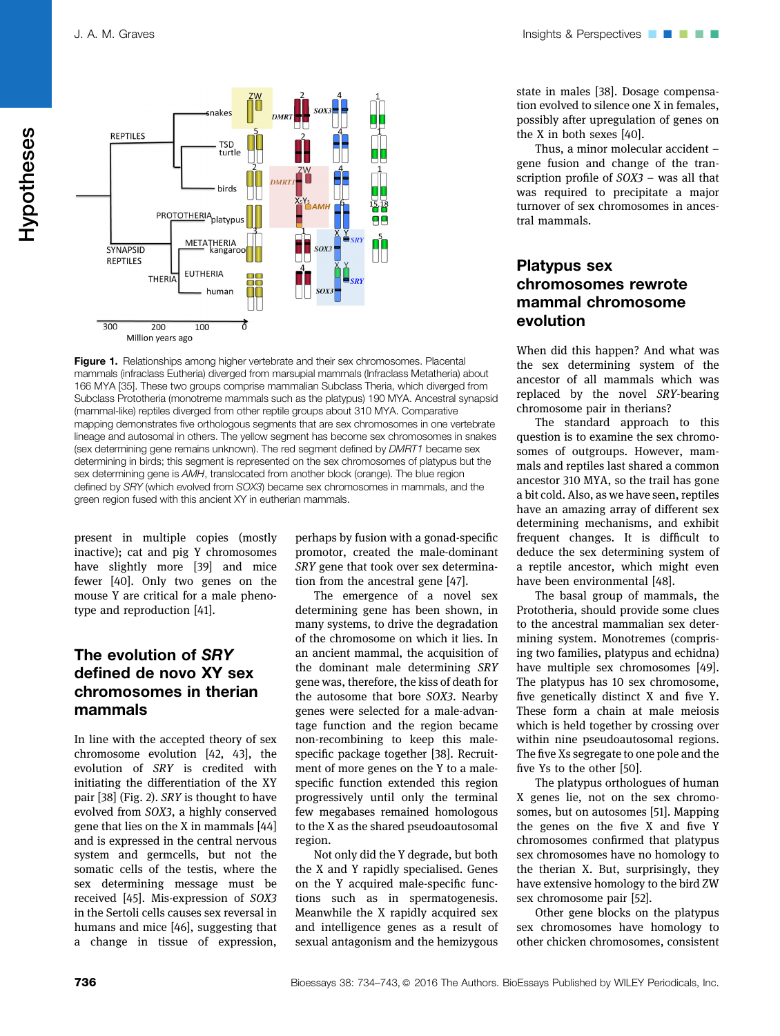

**Figure 1.** Relationships among higher vertebrate and their sex chromosomes. Placental mammals (infraclass Eutheria) diverged from marsupial mammals (Infraclass Metatheria) about 166 MYA [35]. These two groups comprise mammalian Subclass Theria, which diverged from Subclass Prototheria (monotreme mammals such as the platypus) 190 MYA. Ancestral synapsid (mammal-like) reptiles diverged from other reptile groups about 310 MYA. Comparative mapping demonstrates five orthologous segments that are sex chromosomes in one vertebrate lineage and autosomal in others. The yellow segment has become sex chromosomes in snakes (sex determining gene remains unknown). The red segment defined by DMRT1 became sex determining in birds; this segment is represented on the sex chromosomes of platypus but the sex determining gene is AMH, translocated from another block (orange). The blue region defined by SRY (which evolved from SOX3) became sex chromosomes in mammals, and the green region fused with this ancient XY in eutherian mammals.

present in multiple copies (mostly inactive); cat and pig Y chromosomes have slightly more [39] and mice fewer [40]. Only two genes on the mouse Y are critical for a male phenotype and reproduction [41].

# The evolution of SRY defined de novo XY sex chromosomes in therian mammals

In line with the accepted theory of sex chromosome evolution [42, 43], the evolution of SRY is credited with initiating the differentiation of the XY pair [38] (Fig. 2). SRY is thought to have evolved from SOX3, a highly conserved gene that lies on the X in mammals [44] and is expressed in the central nervous system and germcells, but not the somatic cells of the testis, where the sex determining message must be received [45]. Mis-expression of SOX3 in the Sertoli cells causes sex reversal in humans and mice [46], suggesting that a change in tissue of expression,

perhaps by fusion with a gonad-specific promotor, created the male-dominant SRY gene that took over sex determination from the ancestral gene [47].

The emergence of a novel sex determining gene has been shown, in many systems, to drive the degradation of the chromosome on which it lies. In an ancient mammal, the acquisition of the dominant male determining SRY gene was, therefore, the kiss of death for the autosome that bore SOX3. Nearby genes were selected for a male-advantage function and the region became non-recombining to keep this malespecific package together [38]. Recruitment of more genes on the Y to a malespecific function extended this region progressively until only the terminal few megabases remained homologous to the X as the shared pseudoautosomal region.

Not only did the Y degrade, but both the X and Y rapidly specialised. Genes on the Y acquired male-specific functions such as in spermatogenesis. Meanwhile the X rapidly acquired sex and intelligence genes as a result of sexual antagonism and the hemizygous

state in males [38]. Dosage compensation evolved to silence one X in females, possibly after upregulation of genes on the X in both sexes [40].

Thus, a minor molecular accident – gene fusion and change of the transcription profile of SOX3 – was all that was required to precipitate a major turnover of sex chromosomes in ancestral mammals.

# Platypus sex chromosomes rewrote mammal chromosome evolution

When did this happen? And what was the sex determining system of the ancestor of all mammals which was replaced by the novel SRY-bearing chromosome pair in therians?

The standard approach to this question is to examine the sex chromosomes of outgroups. However, mammals and reptiles last shared a common ancestor 310 MYA, so the trail has gone a bit cold. Also, as we have seen, reptiles have an amazing array of different sex determining mechanisms, and exhibit frequent changes. It is difficult to deduce the sex determining system of a reptile ancestor, which might even have been environmental [48].

The basal group of mammals, the Prototheria, should provide some clues to the ancestral mammalian sex determining system. Monotremes (comprising two families, platypus and echidna) have multiple sex chromosomes [49]. The platypus has 10 sex chromosome, five genetically distinct X and five Y. These form a chain at male meiosis which is held together by crossing over within nine pseudoautosomal regions. The five Xs segregate to one pole and the five Ys to the other [50].

The platypus orthologues of human X genes lie, not on the sex chromosomes, but on autosomes [51]. Mapping the genes on the five X and five Y chromosomes confirmed that platypus sex chromosomes have no homology to the therian X. But, surprisingly, they have extensive homology to the bird ZW sex chromosome pair [52].

Other gene blocks on the platypus sex chromosomes have homology to other chicken chromosomes, consistent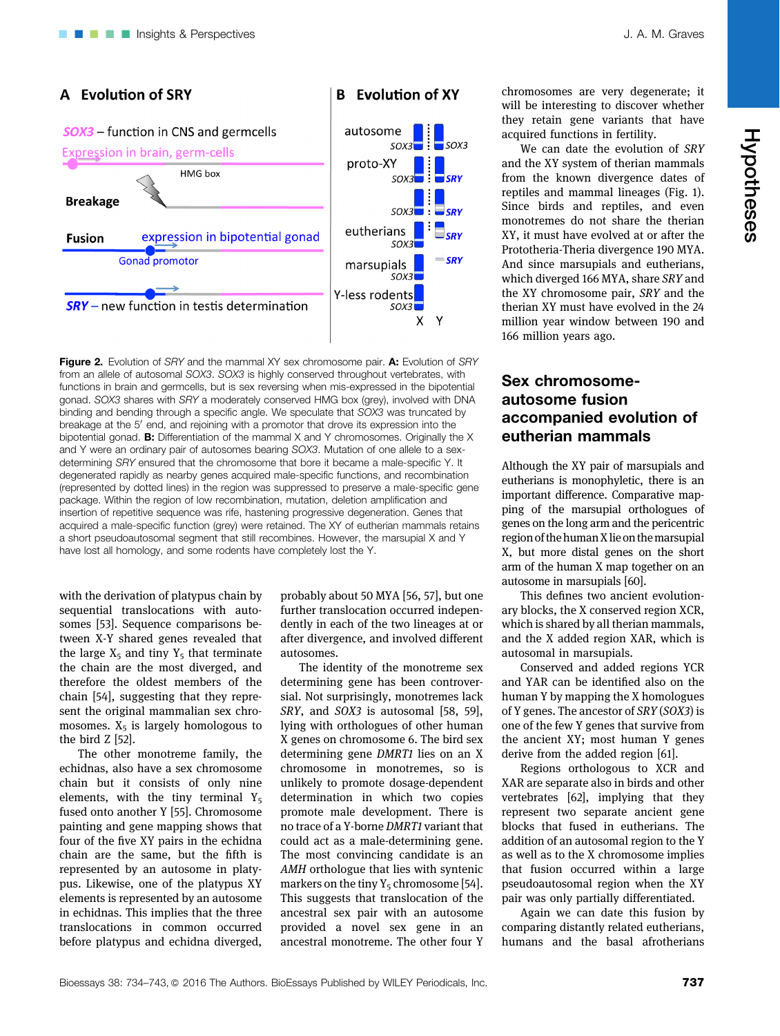

Figure 2. Evolution of SRY and the mammal XY sex chromosome pair. A: Evolution of SRY from an allele of autosomal SOX3. SOX3 is highly conserved throughout vertebrates, with functions in brain and germcells, but is sex reversing when mis-expressed in the bipotential gonad. SOX3 shares with SRY a moderately conserved HMG box (grey), involved with DNA binding and bending through a specific angle. We speculate that SOX3 was truncated by breakage at the 5' end, and rejoining with a promotor that drove its expression into the bipotential gonad. **B:** Differentiation of the mammal  $X$  and  $Y$  chromosomes. Originally the  $X$ and Y were an ordinary pair of autosomes bearing SOX3. Mutation of one allele to a sexdetermining SRY ensured that the chromosome that bore it became a male-specific Y. It degenerated rapidly as nearby genes acquired male-specific functions, and recombination (represented by dotted lines) in the region was suppressed to preserve a male-specific gene package. Within the region of low recombination, mutation, deletion amplification and insertion of repetitive sequence was rife, hastening progressive degeneration. Genes that acquired a male-specific function (grey) were retained. The XY of eutherian mammals retains a short pseudoautosomal segment that still recombines. However, the marsupial X and Y have lost all homology, and some rodents have completely lost the Y.

with the derivation of platypus chain by sequential translocations with autosomes [53]. Sequence comparisons between X-Y shared genes revealed that the large  $X_5$  and tiny  $Y_5$  that terminate the chain are the most diverged, and therefore the oldest members of the chain [54], suggesting that they represent the original mammalian sex chromosomes.  $X_5$  is largely homologous to the bird Z [52].

The other monotreme family, the echidnas, also have a sex chromosome chain but it consists of only nine elements, with the tiny terminal  $Y_5$ fused onto another Y [55]. Chromosome painting and gene mapping shows that four of the five XY pairs in the echidna chain are the same, but the fifth is represented by an autosome in platypus. Likewise, one of the platypus XY elements is represented by an autosome in echidnas. This implies that the three translocations in common occurred before platypus and echidna diverged,

probably about 50 MYA [56, 57], but one further translocation occurred independently in each of the two lineages at or after divergence, and involved different autosomes.

The identity of the monotreme sex determining gene has been controversial. Not surprisingly, monotremes lack SRY, and SOX3 is autosomal [58, 59], lying with orthologues of other human X genes on chromosome 6. The bird sex determining gene DMRT1 lies on an X chromosome in monotremes, so is unlikely to promote dosage-dependent determination in which two copies promote male development. There is no trace of a Y-borne DMRT1 variant that could act as a male-determining gene. The most convincing candidate is an AMH orthologue that lies with syntenic markers on the tiny  $Y_5$  chromosome [54]. This suggests that translocation of the ancestral sex pair with an autosome provided a novel sex gene in an ancestral monotreme. The other four Y

chromosomes are very degenerate; it will be interesting to discover whether they retain gene variants that have acquired functions in fertility.

We can date the evolution of SRY and the XY system of therian mammals from the known divergence dates of reptiles and mammal lineages (Fig. 1). Since birds and reptiles, and even monotremes do not share the therian XY, it must have evolved at or after the Prototheria-Theria divergence 190 MYA. And since marsupials and eutherians, which diverged 166 MYA, share SRY and the XY chromosome pair, SRY and the therian XY must have evolved in the 24 million year window between 190 and 166 million years ago.

# Sex chromosomeautosome fusion accompanied evolution of eutherian mammals

Although the XY pair of marsupials and eutherians is monophyletic, there is an important difference. Comparative mapping of the marsupial orthologues of genes on the long arm and the pericentric region of the humanXlie on themarsupial X, but more distal genes on the short arm of the human X map together on an autosome in marsupials [60].

This defines two ancient evolutionary blocks, the X conserved region XCR, which is shared by all therian mammals, and the X added region XAR, which is autosomal in marsupials.

Conserved and added regions YCR and YAR can be identified also on the human Y by mapping the X homologues of Y genes. The ancestor of SRY (SOX3) is one of the few Y genes that survive from the ancient XY; most human Y genes derive from the added region [61].

Regions orthologous to XCR and XAR are separate also in birds and other vertebrates [62], implying that they represent two separate ancient gene blocks that fused in eutherians. The addition of an autosomal region to the Y as well as to the X chromosome implies that fusion occurred within a large pseudoautosomal region when the XY pair was only partially differentiated.

Again we can date this fusion by comparing distantly related eutherians, humans and the basal afrotherians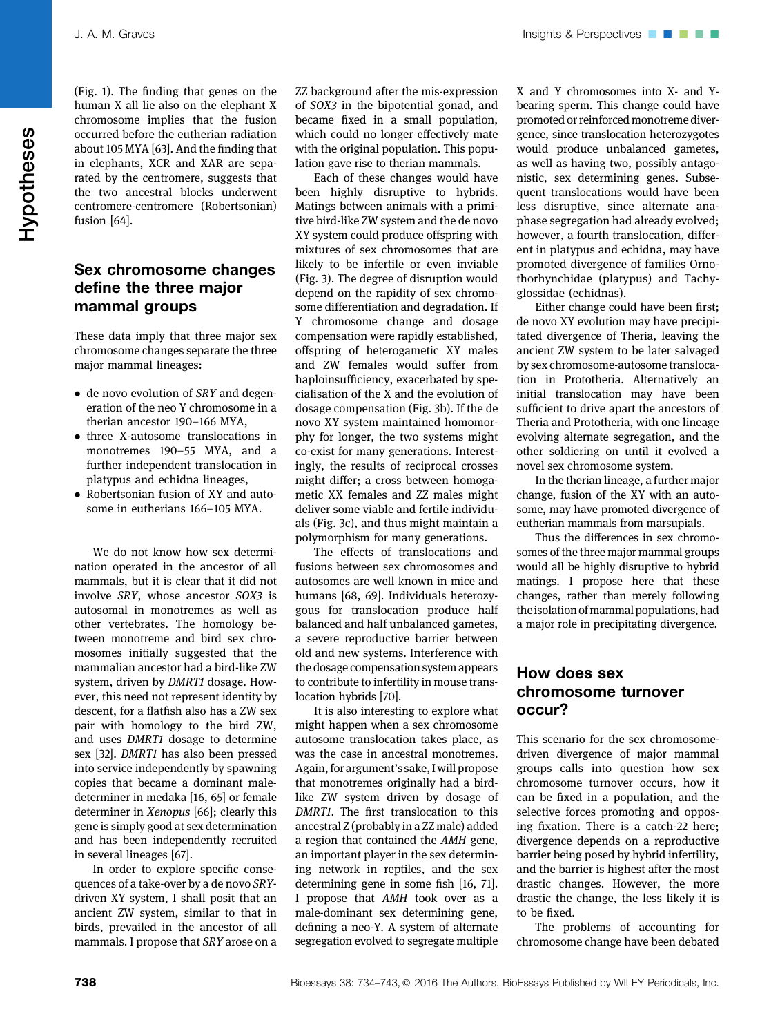(Fig. 1). The finding that genes on the human X all lie also on the elephant X chromosome implies that the fusion occurred before the eutherian radiation about 105 MYA [63]. And the finding that in elephants, XCR and XAR are separated by the centromere, suggests that the two ancestral blocks underwent centromere-centromere (Robertsonian) fusion [64].

# Sex chromosome changes define the three major mammal groups

These data imply that three major sex chromosome changes separate the three major mammal lineages:

- de novo evolution of *SRY* and degeneration of the neo *Y* chromosome in a eration of the neo Y chromosome in a therian ancestor 190–166 MYA,
- three X-autosome translocations in monotremes 190–55 MYA, and a further independent translocation in platypus and echidna lineages,
- Robertsonian fusion of XY and autosome in eutherians 166–105 MYA.

We do not know how sex determination operated in the ancestor of all mammals, but it is clear that it did not involve SRY, whose ancestor SOX3 is autosomal in monotremes as well as other vertebrates. The homology between monotreme and bird sex chromosomes initially suggested that the mammalian ancestor had a bird-like ZW system, driven by DMRT1 dosage. However, this need not represent identity by descent, for a flatfish also has a ZW sex pair with homology to the bird ZW, and uses DMRT1 dosage to determine sex [32]. DMRT1 has also been pressed into service independently by spawning copies that became a dominant maledeterminer in medaka [16, 65] or female determiner in Xenopus [66]; clearly this gene is simply good at sex determination and has been independently recruited in several lineages [67].

In order to explore specific consequences of a take-over by a de novo SRYdriven XY system, I shall posit that an ancient ZW system, similar to that in birds, prevailed in the ancestor of all mammals. I propose that SRY arose on a ZZ background after the mis-expression of SOX3 in the bipotential gonad, and became fixed in a small population, which could no longer effectively mate with the original population. This population gave rise to therian mammals.

Each of these changes would have been highly disruptive to hybrids. Matings between animals with a primitive bird-like ZW system and the de novo XY system could produce offspring with mixtures of sex chromosomes that are likely to be infertile or even inviable (Fig. 3). The degree of disruption would depend on the rapidity of sex chromosome differentiation and degradation. If Y chromosome change and dosage compensation were rapidly established, offspring of heterogametic XY males and ZW females would suffer from haploinsufficiency, exacerbated by specialisation of the X and the evolution of dosage compensation (Fig. 3b). If the de novo XY system maintained homomorphy for longer, the two systems might co-exist for many generations. Interestingly, the results of reciprocal crosses might differ; a cross between homogametic XX females and ZZ males might deliver some viable and fertile individuals (Fig. 3c), and thus might maintain a polymorphism for many generations.

The effects of translocations and fusions between sex chromosomes and autosomes are well known in mice and humans [68, 69]. Individuals heterozygous for translocation produce half balanced and half unbalanced gametes, a severe reproductive barrier between old and new systems. Interference with the dosage compensation system appears to contribute to infertility in mouse translocation hybrids [70].

It is also interesting to explore what might happen when a sex chromosome autosome translocation takes place, as was the case in ancestral monotremes. Again, for argument's sake, I will propose that monotremes originally had a birdlike ZW system driven by dosage of DMRT1. The first translocation to this ancestral Z (probably in a ZZ male) added a region that contained the AMH gene, an important player in the sex determining network in reptiles, and the sex determining gene in some fish [16, 71]. I propose that AMH took over as a male-dominant sex determining gene, defining a neo-Y. A system of alternate segregation evolved to segregate multiple

X and Y chromosomes into X- and Ybearing sperm. This change could have promoted or reinforced monotreme divergence, since translocation heterozygotes would produce unbalanced gametes, as well as having two, possibly antagonistic, sex determining genes. Subsequent translocations would have been less disruptive, since alternate anaphase segregation had already evolved; however, a fourth translocation, different in platypus and echidna, may have promoted divergence of families Ornothorhynchidae (platypus) and Tachyglossidae (echidnas).

Either change could have been first; de novo XY evolution may have precipitated divergence of Theria, leaving the ancient ZW system to be later salvaged by sex chromosome-autosome translocation in Prototheria. Alternatively an initial translocation may have been sufficient to drive apart the ancestors of Theria and Prototheria, with one lineage evolving alternate segregation, and the other soldiering on until it evolved a novel sex chromosome system.

In the therian lineage, a further major change, fusion of the XY with an autosome, may have promoted divergence of eutherian mammals from marsupials.

Thus the differences in sex chromosomes of the three major mammal groups would all be highly disruptive to hybrid matings. I propose here that these changes, rather than merely following the isolation of mammal populations, had a major role in precipitating divergence.

# How does sex chromosome turnover occur?

This scenario for the sex chromosomedriven divergence of major mammal groups calls into question how sex chromosome turnover occurs, how it can be fixed in a population, and the selective forces promoting and opposing fixation. There is a catch-22 here; divergence depends on a reproductive barrier being posed by hybrid infertility, and the barrier is highest after the most drastic changes. However, the more drastic the change, the less likely it is to be fixed.

The problems of accounting for chromosome change have been debated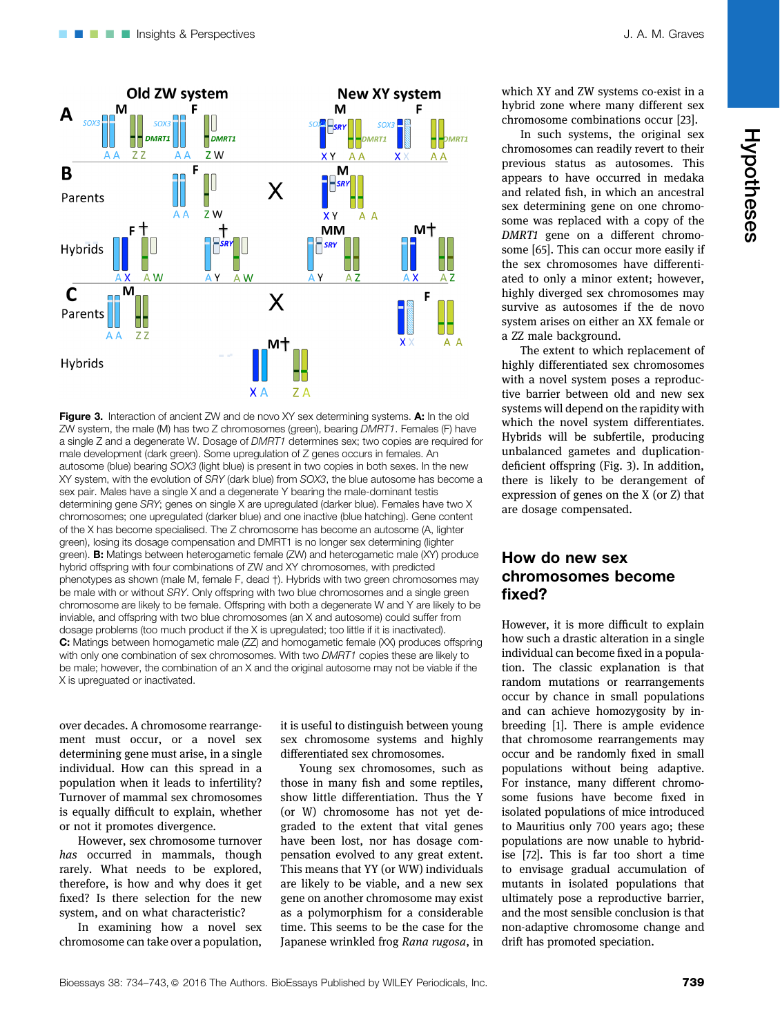

Figure 3. Interaction of ancient ZW and de novo XY sex determining systems. A: In the old ZW system, the male (M) has two Z chromosomes (green), bearing DMRT1. Females (F) have a single Z and a degenerate W. Dosage of DMRT1 determines sex; two copies are required for male development (dark green). Some upregulation of Z genes occurs in females. An autosome (blue) bearing SOX3 (light blue) is present in two copies in both sexes. In the new XY system, with the evolution of SRY (dark blue) from SOX3, the blue autosome has become a sex pair. Males have a single X and a degenerate Y bearing the male-dominant testis determining gene SRY; genes on single X are upregulated (darker blue). Females have two X chromosomes; one upregulated (darker blue) and one inactive (blue hatching). Gene content of the X has become specialised. The Z chromosome has become an autosome (A, lighter green), losing its dosage compensation and DMRT1 is no longer sex determining (lighter green). **B:** Matings between heterogametic female (ZW) and heterogametic male (XY) produce hybrid offspring with four combinations of ZW and XY chromosomes, with predicted phenotypes as shown (male M, female F, dead †). Hybrids with two green chromosomes may be male with or without SRY. Only offspring with two blue chromosomes and a single green chromosome are likely to be female. Offspring with both a degenerate W and Y are likely to be inviable, and offspring with two blue chromosomes (an X and autosome) could suffer from dosage problems (too much product if the X is upregulated; too little if it is inactivated). C: Matings between homogametic male (ZZ) and homogametic female (XX) produces offspring with only one combination of sex chromosomes. With two DMRT1 copies these are likely to be male; however, the combination of an X and the original autosome may not be viable if the X is upreguated or inactivated.

over decades. A chromosome rearrangement must occur, or a novel sex determining gene must arise, in a single individual. How can this spread in a population when it leads to infertility? Turnover of mammal sex chromosomes is equally difficult to explain, whether or not it promotes divergence.

However, sex chromosome turnover has occurred in mammals, though rarely. What needs to be explored, therefore, is how and why does it get fixed? Is there selection for the new system, and on what characteristic?

In examining how a novel sex chromosome can take over a population, it is useful to distinguish between young sex chromosome systems and highly differentiated sex chromosomes.

Young sex chromosomes, such as those in many fish and some reptiles, show little differentiation. Thus the Y (or W) chromosome has not yet degraded to the extent that vital genes have been lost, nor has dosage compensation evolved to any great extent. This means that YY (or WW) individuals are likely to be viable, and a new sex gene on another chromosome may exist as a polymorphism for a considerable time. This seems to be the case for the Japanese wrinkled frog Rana rugosa, in

which XY and ZW systems co-exist in a hybrid zone where many different sex chromosome combinations occur [23].

In such systems, the original sex chromosomes can readily revert to their previous status as autosomes. This appears to have occurred in medaka and related fish, in which an ancestral sex determining gene on one chromosome was replaced with a copy of the DMRT1 gene on a different chromosome [65]. This can occur more easily if the sex chromosomes have differentiated to only a minor extent; however, highly diverged sex chromosomes may survive as autosomes if the de novo system arises on either an XX female or a ZZ male background.

The extent to which replacement of highly differentiated sex chromosomes with a novel system poses a reproductive barrier between old and new sex systems will depend on the rapidity with which the novel system differentiates. Hybrids will be subfertile, producing unbalanced gametes and duplicationdeficient offspring (Fig. 3). In addition, there is likely to be derangement of expression of genes on the X (or Z) that are dosage compensated.

# How do new sex chromosomes become fixed?

However, it is more difficult to explain how such a drastic alteration in a single individual can become fixed in a population. The classic explanation is that random mutations or rearrangements occur by chance in small populations and can achieve homozygosity by inbreeding [1]. There is ample evidence that chromosome rearrangements may occur and be randomly fixed in small populations without being adaptive. For instance, many different chromosome fusions have become fixed in isolated populations of mice introduced to Mauritius only 700 years ago; these populations are now unable to hybridise [72]. This is far too short a time to envisage gradual accumulation of mutants in isolated populations that ultimately pose a reproductive barrier, and the most sensible conclusion is that non-adaptive chromosome change and drift has promoted speciation.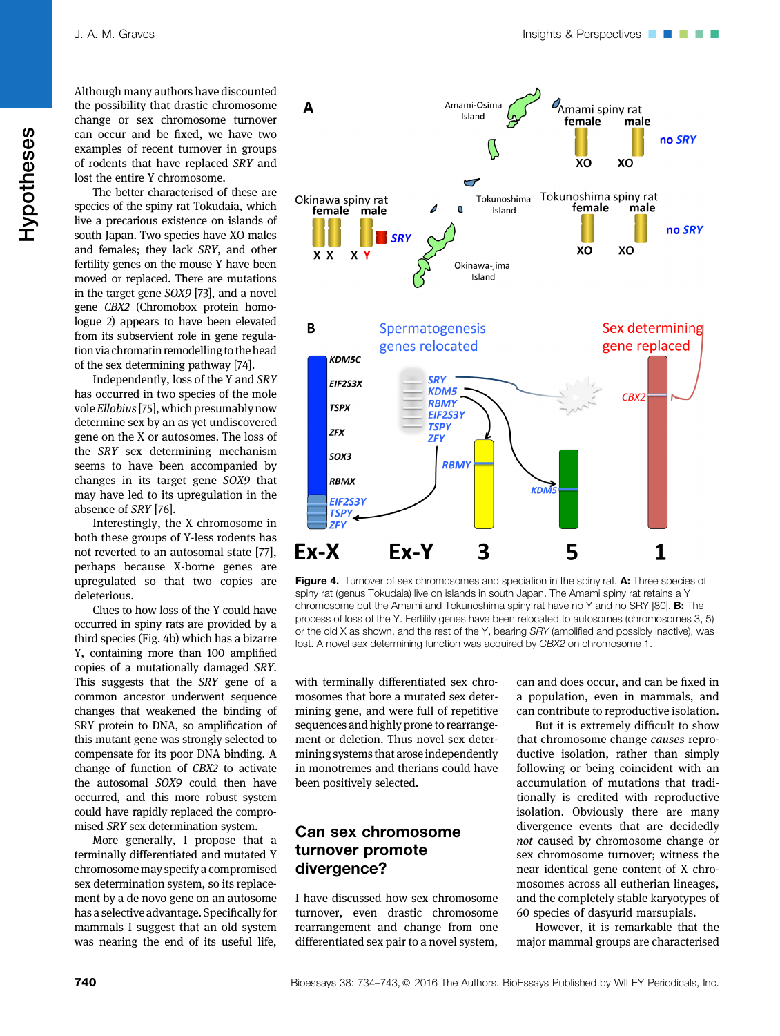Although many authors have discounted the possibility that drastic chromosome change or sex chromosome turnover can occur and be fixed, we have two examples of recent turnover in groups of rodents that have replaced SRY and lost the entire Y chromosome.

The better characterised of these are species of the spiny rat Tokudaia, which live a precarious existence on islands of south Japan. Two species have XO males and females; they lack SRY, and other fertility genes on the mouse Y have been moved or replaced. There are mutations in the target gene SOX9 [73], and a novel gene CBX2 (Chromobox protein homologue 2) appears to have been elevated from its subservient role in gene regulation via chromatin remodelling to the head of the sex determining pathway [74].

Independently, loss of the Y and SRY has occurred in two species of the mole vole Ellobius [75], which presumably now determine sex by an as yet undiscovered gene on the X or autosomes. The loss of the SRY sex determining mechanism seems to have been accompanied by changes in its target gene SOX9 that may have led to its upregulation in the absence of SRY [76].

Interestingly, the X chromosome in both these groups of Y-less rodents has not reverted to an autosomal state [77], perhaps because X-borne genes are upregulated so that two copies are deleterious.

Clues to how loss of the Y could have occurred in spiny rats are provided by a third species (Fig. 4b) which has a bizarre Y, containing more than 100 amplified copies of a mutationally damaged SRY. This suggests that the SRY gene of a common ancestor underwent sequence changes that weakened the binding of SRY protein to DNA, so amplification of this mutant gene was strongly selected to compensate for its poor DNA binding. A change of function of CBX2 to activate the autosomal SOX9 could then have occurred, and this more robust system could have rapidly replaced the compromised SRY sex determination system.

More generally, I propose that a terminally differentiated and mutated Y chromosomemay specify a compromised sex determination system, so its replacement by a de novo gene on an autosome has a selective advantage. Specifically for mammals I suggest that an old system was nearing the end of its useful life,



Figure 4. Turnover of sex chromosomes and speciation in the spiny rat. A: Three species of spiny rat (genus Tokudaia) live on islands in south Japan. The Amami spiny rat retains a Y chromosome but the Amami and Tokunoshima spiny rat have no Y and no SRY [80]. B: The process of loss of the Y. Fertility genes have been relocated to autosomes (chromosomes 3, 5) or the old X as shown, and the rest of the Y, bearing SRY (amplified and possibly inactive), was lost. A novel sex determining function was acquired by CBX2 on chromosome 1.

with terminally differentiated sex chromosomes that bore a mutated sex determining gene, and were full of repetitive sequences and highly prone to rearrangement or deletion. Thus novel sex determining systems that arose independently in monotremes and therians could have been positively selected.

# Can sex chromosome turnover promote divergence?

I have discussed how sex chromosome turnover, even drastic chromosome rearrangement and change from one differentiated sex pair to a novel system,

can and does occur, and can be fixed in a population, even in mammals, and can contribute to reproductive isolation.

But it is extremely difficult to show that chromosome change causes reproductive isolation, rather than simply following or being coincident with an accumulation of mutations that traditionally is credited with reproductive isolation. Obviously there are many divergence events that are decidedly not caused by chromosome change or sex chromosome turnover; witness the near identical gene content of X chromosomes across all eutherian lineages, and the completely stable karyotypes of 60 species of dasyurid marsupials.

However, it is remarkable that the major mammal groups are characterised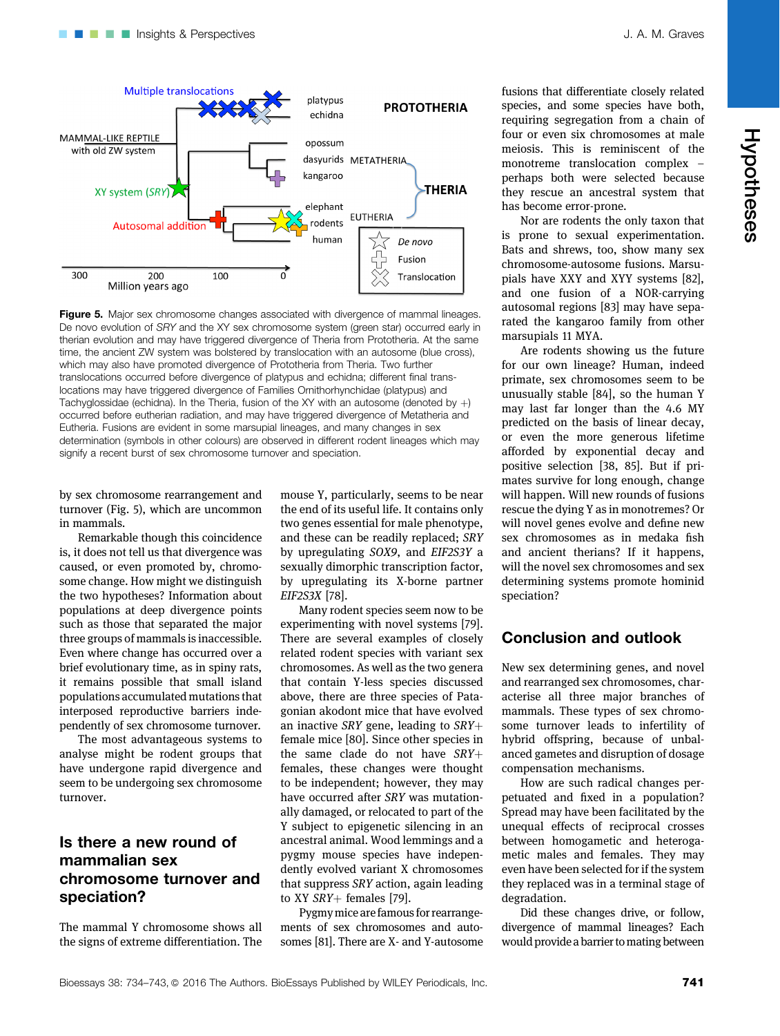

Figure 5. Major sex chromosome changes associated with divergence of mammal lineages. De novo evolution of SRY and the XY sex chromosome system (green star) occurred early in therian evolution and may have triggered divergence of Theria from Prototheria. At the same time, the ancient ZW system was bolstered by translocation with an autosome (blue cross), which may also have promoted divergence of Prototheria from Theria. Two further translocations occurred before divergence of platypus and echidna; different final translocations may have triggered divergence of Families Ornithorhynchidae (platypus) and Tachyglossidae (echidna). In the Theria, fusion of the XY with an autosome (denoted by  $+)$ occurred before eutherian radiation, and may have triggered divergence of Metatheria and Eutheria. Fusions are evident in some marsupial lineages, and many changes in sex determination (symbols in other colours) are observed in different rodent lineages which may signify a recent burst of sex chromosome turnover and speciation.

by sex chromosome rearrangement and turnover (Fig. 5), which are uncommon in mammals.

Remarkable though this coincidence is, it does not tell us that divergence was caused, or even promoted by, chromosome change. How might we distinguish the two hypotheses? Information about populations at deep divergence points such as those that separated the major three groups of mammals is inaccessible. Even where change has occurred over a brief evolutionary time, as in spiny rats, it remains possible that small island populations accumulated mutations that interposed reproductive barriers independently of sex chromosome turnover.

The most advantageous systems to analyse might be rodent groups that have undergone rapid divergence and seem to be undergoing sex chromosome turnover.

# Is there a new round of mammalian sex chromosome turnover and speciation?

The mammal Y chromosome shows all the signs of extreme differentiation. The mouse Y, particularly, seems to be near the end of its useful life. It contains only two genes essential for male phenotype, and these can be readily replaced; SRY by upregulating SOX9, and EIF2S3Y <sup>a</sup> sexually dimorphic transcription factor, by upregulating its X-borne partner EIF2S3X [78].

Many rodent species seem now to be experimenting with novel systems [79]. There are several examples of closely related rodent species with variant sex chromosomes. As well as the two genera that contain Y-less species discussed above, there are three species of Patagonian akodont mice that have evolved an inactive SRY gene, leading to  $SRY$ + female mice [80]. Since other species in the same clade do not have  $SRY+$ females, these changes were thought to be independent; however, they may have occurred after SRY was mutationally damaged, or relocated to part of the Y subject to epigenetic silencing in an ancestral animal. Wood lemmings and a pygmy mouse species have independently evolved variant X chromosomes that suppress SRY action, again leading to XY  $SRY$ + females [79].

Pygmymice are famous for rearrangements of sex chromosomes and autosomes [81]. There are X- and Y-autosome fusions that differentiate closely related species, and some species have both, requiring segregation from a chain of four or even six chromosomes at male meiosis. This is reminiscent of the monotreme translocation complex – perhaps both were selected because they rescue an ancestral system that has become error-prone.

Nor are rodents the only taxon that is prone to sexual experimentation. Bats and shrews, too, show many sex chromosome-autosome fusions. Marsupials have XXY and XYY systems [82], and one fusion of a NOR-carrying autosomal regions [83] may have separated the kangaroo family from other marsupials 11 MYA.

Are rodents showing us the future for our own lineage? Human, indeed primate, sex chromosomes seem to be unusually stable [84], so the human Y may last far longer than the 4.6 MY predicted on the basis of linear decay, or even the more generous lifetime afforded by exponential decay and positive selection [38, 85]. But if primates survive for long enough, change will happen. Will new rounds of fusions rescue the dying Y as in monotremes? Or will novel genes evolve and define new sex chromosomes as in medaka fish and ancient therians? If it happens, will the novel sex chromosomes and sex determining systems promote hominid speciation?

### Conclusion and outlook

New sex determining genes, and novel and rearranged sex chromosomes, characterise all three major branches of mammals. These types of sex chromosome turnover leads to infertility of hybrid offspring, because of unbalanced gametes and disruption of dosage compensation mechanisms.

How are such radical changes perpetuated and fixed in a population? Spread may have been facilitated by the unequal effects of reciprocal crosses between homogametic and heterogametic males and females. They may even have been selected for if the system they replaced was in a terminal stage of degradation.

Did these changes drive, or follow, divergence of mammal lineages? Each would provide a barrier to mating between

Hypotheses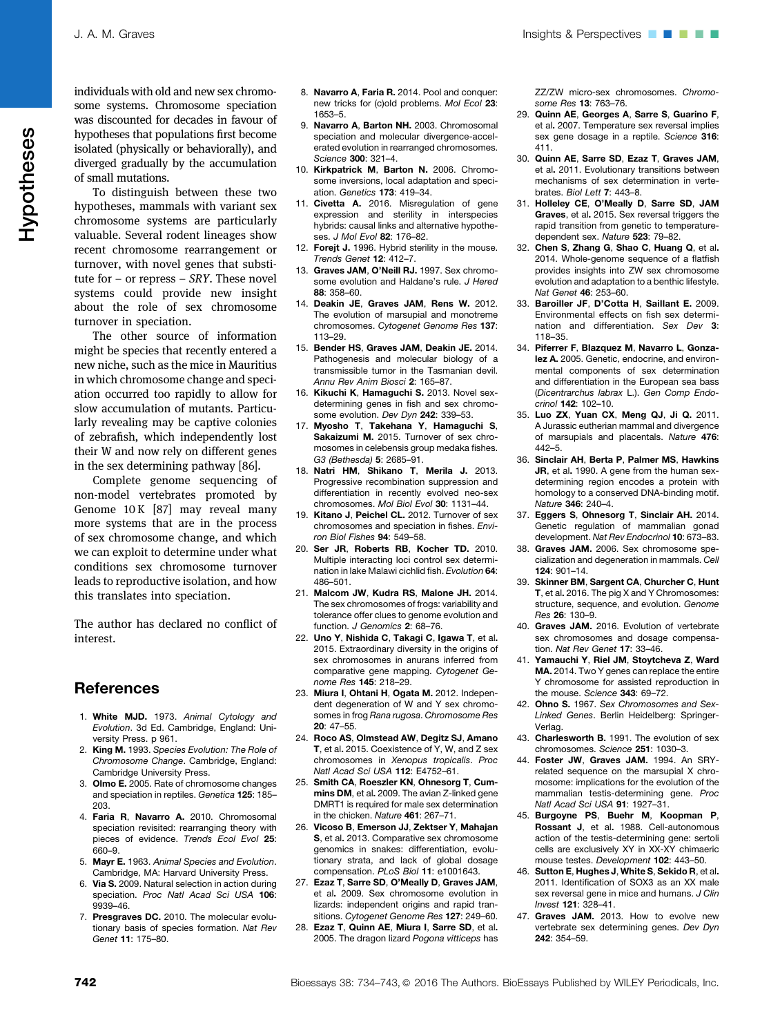individuals with old and new sex chromosome systems. Chromosome speciation was discounted for decades in favour of hypotheses that populations first become isolated (physically or behaviorally), and diverged gradually by the accumulation of small mutations.

To distinguish between these two hypotheses, mammals with variant sex chromosome systems are particularly valuable. Several rodent lineages show recent chromosome rearrangement or turnover, with novel genes that substitute for – or repress –  $SRY$ . These novel systems could provide new insight about the role of sex chromosome turnover in speciation.

The other source of information might be species that recently entered a new niche, such as the mice in Mauritius in which chromosome change and speciation occurred too rapidly to allow for slow accumulation of mutants. Particularly revealing may be captive colonies of zebrafish, which independently lost their W and now rely on different genes in the sex determining pathway [86].

Complete genome sequencing of non-model vertebrates promoted by Genome 10 K [87] may reveal many more systems that are in the process of sex chromosome change, and which we can exploit to determine under what conditions sex chromosome turnover leads to reproductive isolation, and how this translates into speciation.

The author has declared no conflict of interest.

#### References

- 1. White MJD. 1973. Animal Cytology and Evolution. 3d Ed. Cambridge, England: University Press. p 961.
- 2. King M. 1993. Species Evolution: The Role of Chromosome Change. Cambridge, England: Cambridge University Press.
- 3. Olmo E. 2005. Rate of chromosome changes and speciation in reptiles. Genetica 125: 185– 203.
- 4. Faria R, Navarro A. 2010. Chromosomal speciation revisited: rearranging theory with pieces of evidence. Trends Ecol Evol 25: 660–9.
- 5. Mayr E. 1963. Animal Species and Evolution. Cambridge, MA: Harvard University Press.
- 6. Via S. 2009. Natural selection in action during speciation. Proc Natl Acad Sci USA 106: 9939–46.
- 7. Presgraves DC. 2010. The molecular evolutionary basis of species formation. Nat Rev Genet 11: 175–80.
- 8. Navarro A, Faria R, 2014. Pool and conquer: new tricks for (c)old problems. Mol Ecol 23: 1653–5.
- 9. Navarro A, Barton NH, 2003. Chromosomal speciation and molecular divergence-accelerated evolution in rearranged chromosomes. Science 300: 321–4.
- 10. Kirkpatrick M, Barton N. 2006. Chromosome inversions, local adaptation and speciation. Genetics 173: 419–34.
- 11. Civetta A. 2016. Misregulation of gene expression and sterility in interspecies hybrids: causal links and alternative hypotheses. J Mol Evol 82: 176–82.
- 12. Forejt J. 1996. Hybrid sterility in the mouse. Trends Genet 12: 412–7.
- 13. Graves JAM, O'Neill RJ. 1997. Sex chromosome evolution and Haldane's rule. J Hered 88: 358–60.
- 14. Deakin JE, Graves JAM, Rens W. 2012. The evolution of marsupial and monotreme chromosomes. Cytogenet Genome Res 137: 113–29.
- 15. Bender HS, Graves JAM, Deakin JE. 2014. Pathogenesis and molecular biology of a transmissible tumor in the Tasmanian devil. Annu Rev Anim Biosci 2: 165–87.
- 16. Kikuchi K, Hamaguchi S. 2013. Novel sexdetermining genes in fish and sex chromosome evolution. Dev Dvn 242: 339-53.
- 17. Myosho T, Takehana Y, Hamaguchi S, Sakaizumi M. 2015. Turnover of sex chromosomes in celebensis group medaka fishes. G3 (Bethesda) 5: 2685–91.
- 18. Natri HM, Shikano T, Merila J. 2013. Progressive recombination suppression and differentiation in recently evolved neo-sex chromosomes. Mol Biol Evol 30: 1131–44.
- 19. Kitano J, Peichel CL. 2012. Turnover of sex chromosomes and speciation in fishes. Environ Biol Fishes 94: 549–58.
- 20. Ser JR, Roberts RB, Kocher TD. 2010. Multiple interacting loci control sex determination in lake Malawi cichlid fish. Evolution 64: 486–501.
- 21. Malcom JW, Kudra RS, Malone JH. 2014. The sex chromosomes of frogs: variability and tolerance offer clues to genome evolution and function. J Genomics 2: 68–76.
- 22. Uno Y, Nishida C, Takagi C, Igawa T, et al. 2015. Extraordinary diversity in the origins of sex chromosomes in anurans inferred from comparative gene mapping. Cytogenet Genome Res 145: 218–29.
- 23. Miura I, Ohtani H, Ogata M. 2012. Independent degeneration of W and Y sex chromosomes in frog Rana rugosa. Chromosome Res 20: 47–55.
- 24. Roco AS, Olmstead AW, Degitz SJ, Amano T, et al. 2015. Coexistence of Y, W, and Z sex chromosomes in Xenopus tropicalis. Proc Natl Acad Sci USA 112: E4752–61.
- 25. Smith CA, Roeszler KN, Ohnesorg T, Cummins DM, et al. 2009. The avian Z-linked gene DMRT1 is required for male sex determination in the chicken. Nature 461: 267–71.
- 26. Vicoso B, Emerson JJ, Zektser Y, Mahajan S, et al. 2013. Comparative sex chromosome genomics in snakes: differentiation, evolutionary strata, and lack of global dosage compensation. PLoS Biol 11: e1001643.
- 27. Ezaz T, Sarre SD, O'Meally D, Graves JAM, et al. 2009. Sex chromosome evolution in lizards: independent origins and rapid transitions. Cytogenet Genome Res 127: 249–60.
- 28. Ezaz T, Quinn AE, Miura I, Sarre SD, et al. 2005. The dragon lizard Pogona vitticeps has

ZZ/ZW micro-sex chromosomes. Chromosome Res 13: 763–76.

- 29. Quinn AE, Georges A, Sarre S, Guarino F, et al. 2007. Temperature sex reversal implies sex gene dosage in a reptile. Science 316: 411.
- 30. Quinn AE, Sarre SD, Ezaz T, Graves JAM, et al. 2011. Evolutionary transitions between mechanisms of sex determination in vertebrates. Biol Lett 7: 443–8.
- 31. Holleley CE, O'Meally D, Sarre SD, JAM Graves, et al. 2015. Sex reversal triggers the rapid transition from genetic to temperaturedependent sex. Nature 523: 79–82.
- 32. Chen S, Zhang G, Shao C, Huang Q, et al. 2014. Whole-genome sequence of a flatfish provides insights into ZW sex chromosome evolution and adaptation to a benthic lifestyle. Nat Genet 46: 253–60.
- 33. Baroiller JF, D'Cotta H, Saillant E. 2009. Environmental effects on fish sex determination and differentiation. Sex Dev 3: 118–35.
- 34. Piferrer F, Blazquez M, Navarro L, Gonzalez A. 2005. Genetic, endocrine, and environmental components of sex determination and differentiation in the European sea bass (Dicentrarchus labrax L.). Gen Comp Endocrinol 142: 102–10.
- 35. Luo ZX, Yuan CX, Meng QJ, Ji Q. 2011. A Jurassic eutherian mammal and divergence of marsupials and placentals. Nature 476: 442–5.
- 36. Sinclair AH, Berta P, Palmer MS, Hawkins JR, et al. 1990. A gene from the human sexdetermining region encodes a protein with homology to a conserved DNA-binding motif. Nature 346: 240–4.
- 37. Eggers S, Ohnesorg T, Sinclair AH. 2014. Genetic regulation of mammalian gonad development. Nat Rev Endocrinol 10: 673-83.
- 38. Graves JAM. 2006. Sex chromosome specialization and degeneration in mammals. Cell 124: 901–14.
- 39. Skinner BM, Sargent CA, Churcher C, Hunt T, et al. 2016. The pig X and Y Chromosomes: structure, sequence, and evolution. Genome Res 26: 130–9.
- 40. Graves JAM. 2016. Evolution of vertebrate sex chromosomes and dosage compensation. Nat Rev Genet 17: 33-46.
- 41. Yamauchi Y, Riel JM, Stoytcheva Z, Ward MA, 2014. Two Y genes can replace the entire Y chromosome for assisted reproduction in the mouse. Science 343: 69-72.
- 42. Ohno S. 1967. Sex Chromosomes and Sex-Linked Genes. Berlin Heidelberg: Springer-Verlag.
- 43. Charlesworth B. 1991. The evolution of sex chromosomes. Science 251: 1030–3.
- 44. Foster JW, Graves JAM. 1994. An SRYrelated sequence on the marsupial X chromosome: implications for the evolution of the mammalian testis-determining gene. Proc Natl Acad Sci USA 91: 1927–31.
- 45. Burgoyne PS, Buehr M, Koopman P, Rossant J, et al. 1988. Cell-autonomous action of the testis-determining gene: sertoli cells are exclusively XY in XX-XY chimaeric mouse testes. Development 102: 443–50.
- 46. Sutton E, Hughes J, White S, Sekido R, et al. 2011. Identification of SOX3 as an XX male sex reversal gene in mice and humans. J Clin Invest 121: 328–41.
- 47. Graves JAM. 2013. How to evolve new vertebrate sex determining genes. Dev Dyn 242: 354–59.